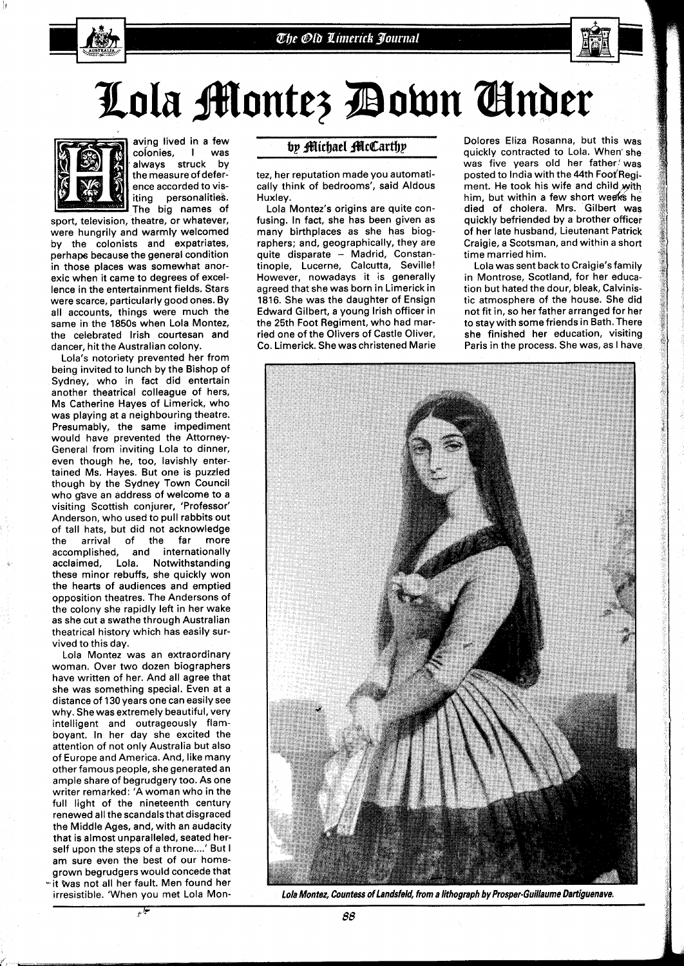

## Lola Montez Down Ginder



aving lived in a few<br>colonies. I was colonies, I was<br>always struck by always struck the measure of deference accorded to visiting personalities. The big names of

sport, television, theatre, or whatever, were hungrily and warmly welcomed by the colonists and expatriates, perhaps because the general condition in those places was somewhat anorexic when it came to degrees of excellence in the entertainment fields. Stars were scarce, particularly good ones. By all accounts, things were much the same in the 1850s when Lola Montez, the celebrated lrish courtesan and dancer, hit the Australian colony.

Lola's notoriety prevented her from being invited to lunch by the Bishop of Sydney, who in fact did entertain another theatrical colleague of hers, MS Catherine Hayes of Limerick, who was playing at a neighbouring theatre. Presumably, the same impediment would have prevented the Attorney-General from inviting Lola to dinner, even though he, too, lavishly entertained Ms. Hayes. But one is puzzled though by the Sydney Town Council who gave an address of welcome to a visiting Scottish conjurer, 'Professor' Anderson, who used to pull rabbits out of tall hats, but did not acknowledge the arrival of the far more accomplished, and internationally acclaimed, Lola. Notwithstanding these minor rebuffs, she quickly won the hearts of audiences and emptied opposition theatres. The Andersons of the colony she rapidly left in her wake as she cut a swathe through Australian theatrical history which has easily survived to this day.

Lola Montez was an extraordinary woman. Over two dozen biographers have written of her. And all agree that she was something special. Even at a distance of 130 years one can easily see why. She was extremely beautiful, very intelligent and outrageously flamboyant. In her day she excited the attention of not only Australia but also of Europe and America. And, like many other famous people, she generated an ample share of begrudgery too. As one writer remarked: 'A woman who in the full light of the nineteenth century renewed all the scandalsthat disgraced the Middle Ages, and, with an audacity that is almost unparalleled, seated herself upon the steps of a throne....' But I am sure even the best of our homegrown begrudgers would concede that - it Was not all her fault. Men found her irresistible. 'When you met Lola Mon-

٩,

## by Michael McCarthy

tez, her reputation made you automatically think of bedrooms', said Aldous Huxley.

Lola Montez's origins are quite confusing. In fact, she has been given as many birthplaces as she has biographers; and, geographically, they are quite disparate - Madrid, Constantinople, Lucerne, Calcutta, Seville! However, nowadays it is generally agreed that she was born in Limerick in 1816. She was the daughter of Ensign Edward Gilbert, a young lrish officer in the 25th Foot Regiment, who had married one of the Olivers of Castle Oliver, Co. Limerick. She was christened Marie

Dolores Eliza Rosanna, but this was quickly contracted to Lola. When'she was five years old her father! was posted to India with the 44th Foot Regiment. He took his wife and child with him, but within a few short weeks he died of cholera. Mrs. Gilbert was quickly befriended by a brother officer of her late husband, Lieutenant Patrick Craigie, a Scotsman, and within a short time married him.

Lola was sent back to Craigie'sfamily in Montrose, Scotland, for her education but hated the dour, bleak, Calvinistic atmosphere of the house. She did not fit in, so her father arranged for her to stay with some friends in Bath. There she finished her education, visiting Paris in the process. She was, as I have



**Lola Montez, Countess of Landsfeld, from a lithograph by Prosper-Guillaume Dartiguenave.**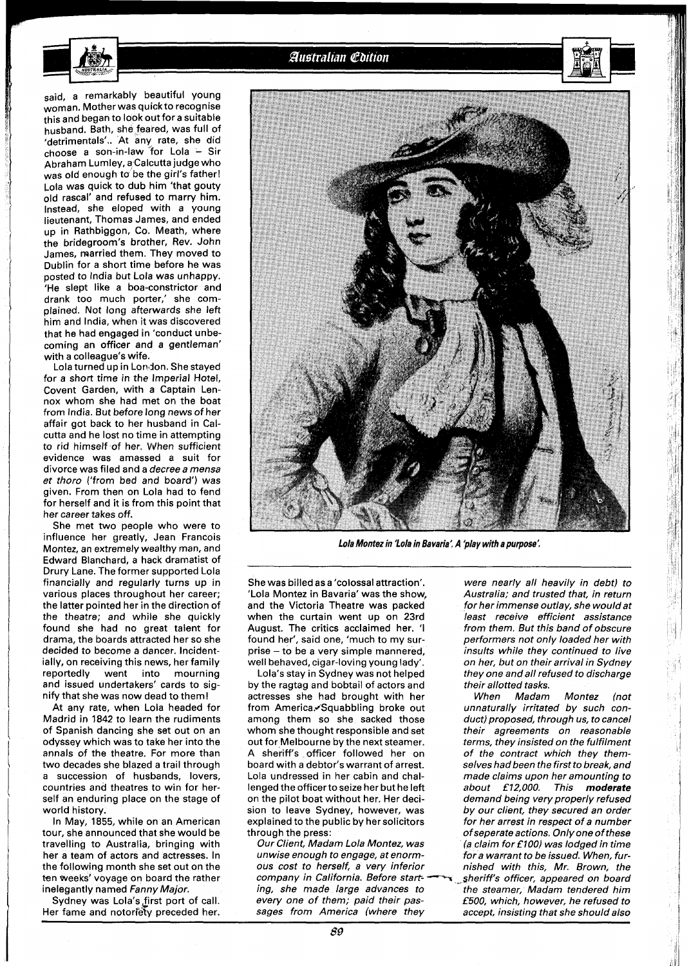

## Australian Cdition

said, a remarkably beautiful young woman. Mother was quick to recognise this and began to look out for a suitable husband. Bath, she feared, was full of 'detrimentals'.. At any rate, she did choose a son-in-law for Lola - Sir Abraham Lumley, a Calcutta judge who was old enough to be the girl's father! Lola was quick to dub him 'that gouty old rascal' and refused to marry him. Instead, she eloped with a young lieutenant, Thomas James, and ended up in Rathbiggon, Co. Meath, where the bridegroom's brother, Rev. John James, married them. They moved to Dublin for a short time before he was posted to India but Lola was unhappy. 'He slept like a boa-constrictor and drank too much porter,' she complained. Not long afterwards she left him and India, when it was discovered that he had engaged in 'conduct unbecoming an officer and a gentleman' with a colleague's wife.

Lola turned up in Lordon. Shestayed for a short time in the Imperial Hotel, Covent Garden, with a Captain Lennox whom she had met on the boat from India. But before long news of her affair got back to her husband in Calcutta and he lost no time in attempting to rid himself of her. When sufficient evidence was amassed a suit for divorce was filed and a decree a mensa et thoro ('from bed and board') was given. From then on Lola had to fend for herself and it is from this point that her career takes off.

She met two people who were to influence her greatly, Jean Francois Montez, an extremely wealthy man, and Edward Blanchard, a hack dramatist of Drury Lane. The former supported Lola financially and regularly turns up in various places throughout her career; the latter pointed her in the direction of the theatre; and while she quickly found she had no great talent for drama, the boards attracted her so she decided to become a dancer. Incidentially, on receiving this news, her family reportedly went into mourning and issued undertakers' cards to signify that she was now dead to them!

At any rate, when Lola headed for Madrid in 1842 to learn the rudiments of Spanish dancing she set out on an odyssey which was to take her into the annals of the theatre. For more than two decades she blazed a trail through a succession of husbands, lovers, countries and theatres to win for herself an enduring place on the stage of world history.

In May, 1855, while on an American tour, she announced that she would be travelling to Australia, bringing with her a team of actors and actresses. In the following month she set out on the ten weeks' voyage on board the rather inelegantly named Fanny Major.

Sydney was Lola's first port of call. Her fame and notoriety preceded her.



**Lola Montez in 'Lola in Bavaria'. A 'play with a purpose'.** 

She was billed as a 'colossal attraction'. 'Lola Montez in Bavaria' was the show, and the Victoria Theatre was packed when the curtain went up on 23rd August. The critics acclaimed her. 'l found her', said one, 'much to my surprise - to be a very simple mannered, well behaved, cigar-loving young lady'.

Lola's stay in Sydney was not helped by the ragtag and bobtail of actors and actresses she had brought with her from America. Squabbling broke out among them so she sacked those whom she thought responsible and set out for Melbourne by the next steamer. A sheriff's officer followed her on board with a debtor's warrant of arrest. Lola undressed in her cabin and challenged the officerto seize her but he left on the pilot boat without her. Her decision to leave Sydney, however, was explained to the public by her solicitors through the press:

Our Client, Madam Lola Montez, was unwise enough to engage, at enormous cost to herself, a very inferior Our Client, Madam Lola Montez, was<br>unwise enough to engage, at enorm-<br>ous-cost-to-herself, a very inferior<br>company in California. Before start-<br>ind-she-made-large, advances-toing, she made large advances to every one of them; paid their passages from America (where they

were nearly all heavily in debt) to Australia; and trusted that, in return for her immense outlay, she wouldat least receive efficient assistance from them. But this band of obscure performers not only loaded her with insults while they continued to live on her, but on their arrival in Sydney they one and all refused to discharge their allotted tasks.

When Madam Montez (not unnaturally irritated by such conduct) proposed, through us, to cancel their agreements on reasonable terms, they insisted on the fulfilment of the contract which they themselves had been the first to break, and made claims upon her amounting to about **f 12,000.** This moderate demand being very properly refused by our client, they secured an order for her arrest in respect of a number ofseperate actions. Only one of these fa claim for **f 100)** was lodged in time for a warrant to be issued. When, furnished with this, Mr. Brown, the sheriff's officer, appeared on board the steamer, Madam tendered him **£500,** which, however, he refused to accept, insisting that she should also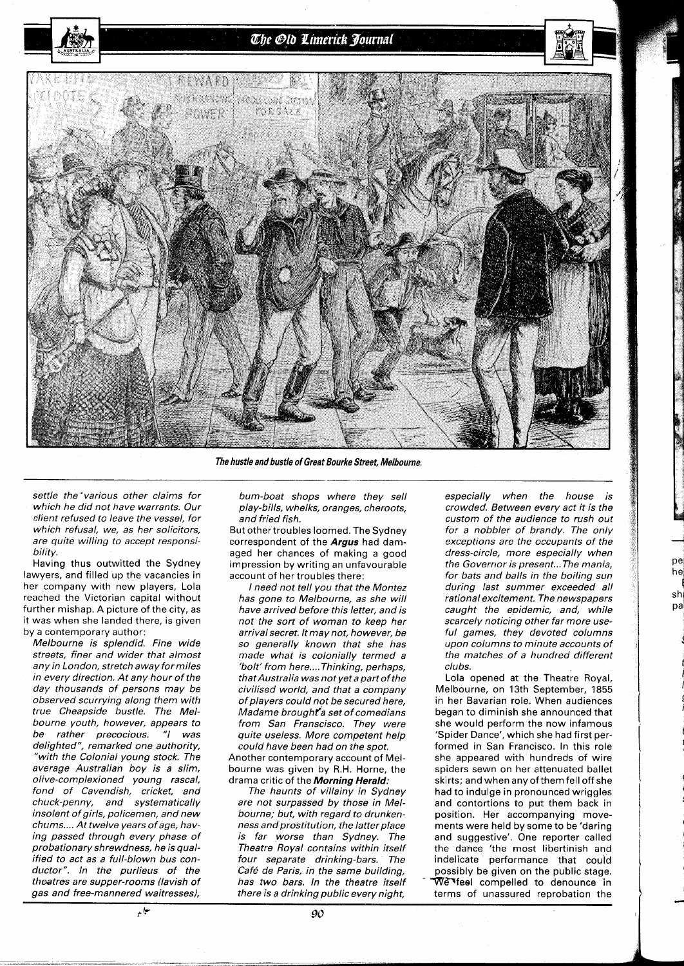The Old Limerick Journal



The hustle and bustle of Great Bourke Street, Melbourne.

settle the 'various other claims for which he did not have warrants. Our client refused to leave the vessel, for which refusal, we, as her solicitors, are quite willing to accept responsibility.

Having thus outwitted the Sydney lawyers, and filled up the vacancies in her company with new players, Lola reached the Victorian capital without further mishap. A picture of the city, as it was when she landed there, is given by a contemporary author:

Melbourne is splendid. Fine wide streets, finer and wider that almost any in London, stretch away formiles in every direction. At any hour of the day thousands of persons may be observed scurrying along them with true Cheapside bustle. The Melbourne youth, however, appears to be rather precocious. "I was delighted", remarked one authority, "with the Colonial young stock. The average Australian boy is a slim, olive-complexioned young rascal, fond of Cavendish, cricket, and chuck-penny, and systematically insolent of girls, policemen, and new chums.... At twelve years of age, having passed through every phase of probationary shrewdness, he is qualified to act as a full-blown bus conductor". In the purlieus of the theatres are supper-rooms (lavish of gas and free-mannered waitresses),

bum-boat shops where they sell play-bills, whelks, oranges, cheroots, and fried fish.

But othertroubles loomed. The Sydney correspondent of the **Argus** had damaged her chances of making a good impression by writing an unfavourable account of her troubles there:

I need not tell you that the Montez has gone to Melbourne, as she will have arrived before this letter, and is not the sort of woman to keep her arrival secret. It may not, however, be so generally known that she has made what is colonially termed a 'bolt' from here....Thinking, perhaps, that Australia was not yet a part of the civilised world, and that a company of players could not be secured here, Madame brought a set of comedians from San Franscisco. They were quite useless. More competent help could have been had on the spot.

Another contemporary account of Melbourne was given by R.H. Horne, the drama critic of the **Morning Herald:** 

The haunts of villainy in Sydney are not surpassed by those in Melbourne; but, with regard to drunkenness and prostitution, the latter place is far worse than Sydney. The Theatre Royal contains within itself four separate drinking-bars. The Café de Paris, in the same building, has two bars. In the theatre itself there is a drinking public every night,

especially when the house is crowded. Between every act it is the custom of the audience to rush out for a nobbler of brandy. The only exceptions are the occupants of the dress-circle, more especially when the Governor is present... The mania, for bats and balls in the boiling sun during last summer exceeded all rational excitement. The newspapers caught the epidemic, and, while scarcely noticing other far more useful games, they devoted columns upon columns to minute accounts of the matches of a hundred different clubs.

pe he  $sh$ pa

Lola opened at the Theatre Royal, Melbourne, on 13th September, 1855 in her Bavarian role. When audiences began to diminish she announced that she would perform the now infamous 'Spider Dance', which she had first performed in San Francisco. In this role she appeared with hundreds of wire spiders sewn on her attenuated ballet skirts; and when any of them fell off she had to indulge in pronounced wriggles and contortions to put them back in position. Her accompanying movements were held by some to be 'daring and suggestive'. One reporter called the dance 'the most libertinish and indelicate performance that could possibly be given on the public stage. We feel compelled to denounce in terms of unassured reprobation the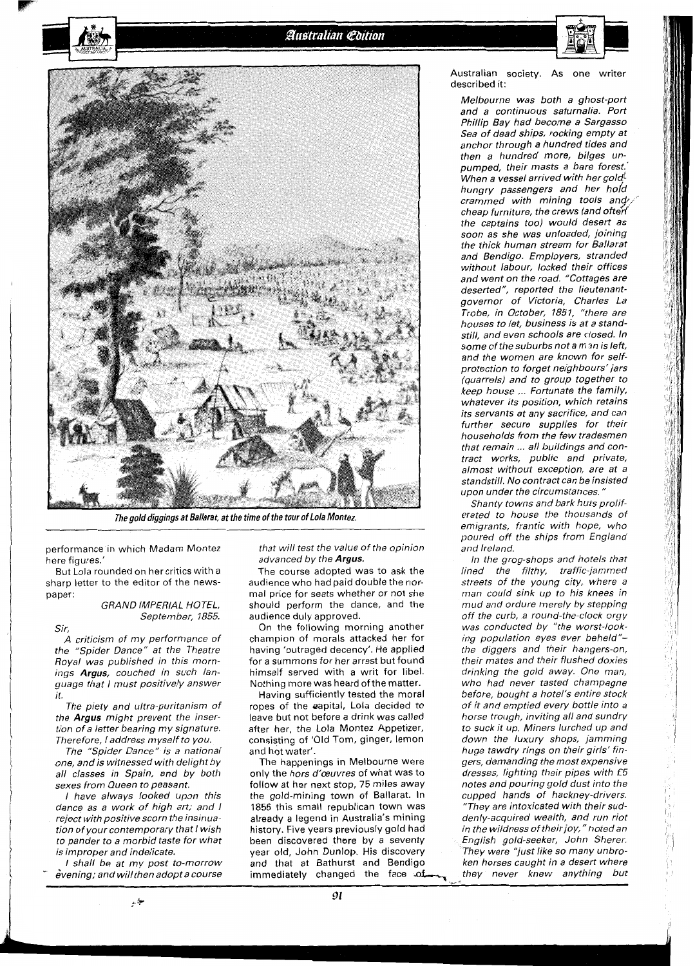

The gold diggings at Ballarat, at the time of the tour of Lola Montez.

performance in which Madam Montez here figures.'

But Lola rounded on her critics with a sharp letter to the editor of the newspaper:

GRAND IMPERIAL HOTEL, September, 1855.

Sir,

A criticism of my performance of the "Spider Dance" at the Theatre Royal was published in this mornings **Argus,** couched in such language that I must positively answer it.

The piety and ultra-puritanism of the **Argus** might prevent the insertion of a letter bearing my signature. Therefore, I address myself to you.

The "Spider Dance" is a national one, and is witnessed with delight by all classes in Spain, and by both sexes from Queen to peasant.

I have always looked upon this dance as a work of high art; and I reject with positive scorn the insinuation of your contemporary that I wish to pander to a morbid taste for what is improper and indelicate.

I shall be at my post to-morrow<br>evening; and will then adopt a course

حياز رو

that will test the value of the opinion advanced by the **Argus.** 

The course adopted was to ask the audience who had paid double the normal price for seats whether or not she should perform the dance, and the audience duly approved.

On the following morning another champion of morals attacked her for having 'outraged decency'. He applied for a summons for her arrest but found himself served with a writ for libel. Nothing more was heard of the matter.

Having sufficiently tested the moral ropes of the @apital, Lola decided to leave but not before a drink was called after her, the Lola Montez Appetizer, consisting of 'Old Tom, ginger, lemon and hot water'.

The happenings in Melbourne were only the hors d'œuvres of what was to follow at her next stop, 75 miles away the gold-mining town of Ballarat. In 1856 this small republican town was already a legend in Australia's mining history. Five years previously gold had been discovered there by a seventy and that at Bathurst and Bendigo Australian society. As one writer described it:

Melbourne was both a ghost-port and a continuous saturnalia. Port Phillip Bay had become a Sargasso Sea of dead ships, rocking empty at anchor through a hundred tides and then a hundred more, bilges unpumped, their masts a bare forest.' .<br>When a vessel arrived with her gold<sup>!</sup> hungry passengers and her hold crammed with mining tools and  $\ell$ . cheap furniture, the crews (and often the captains too) would desert as soon as she was unloaded, joining the thick human stream for Ballarat and Bendigo. Employers, stranded without labour, locked their offices and went on the road. "Cottages are deserted", reported the lieutenantgovernor of Victoria, Charles La Trobe, in October, 7851, "there are houses to let, business is at a standstill, and even schools are closed. In some of the suburbs not a man is left, and the women are known for selfprotection to forget neighbours' jars (quarrels) and to group together to keep house ... Fortunate the family, whatever its position, which retains its servants at any sacrifice, and can further secure supplies for their households from the few tradesmen that remain ... all buildings and contract works, public and private, almost without exception, are at a standstill. No contract can be insisted upon under the circumstances.

Shanty towns and bark huts proliferated to house the thousands of emigrants, frantic with hope, who poured off the ships from England and Ireland.

year old, John Dunlop. His discovery They were "just like so many unbro-<br>and that at Bathurst and Bendigo ken horses caught in a desert where<br>immediately changed the face of they never knew anything but In the grog-shops and hotels that lined the filthy, traffic-jammed streets of the young city, where a man could sink up to his knees in mud and ordure merely by stepping off the curb, a round-the-clock orgy was conducted by "the worst-looking population eyes ever beheld" the diggers and their hangers-on, their mates and their flushed doxies drinking the gold away. One man, who had never tasted champagne before, bought a hotel's entire stock of it and emptied every bottle into a horse trough, inviting all and sundry to suck it up. Miners lurched up and down the luxury shops, jamming huge tawdry rings on their girls' fingers, demanding the most expensive dresses, lighting their pipes with £5 notes and pouring gold dust into the cupped hands of hackney-drivers. "They are intoxicated with their suddenly-acquired wealth, and run riot in the wildness of their joy," noted an English gold-seeker, John Sherer. They were "just like so many unbroken horses caught in a desert where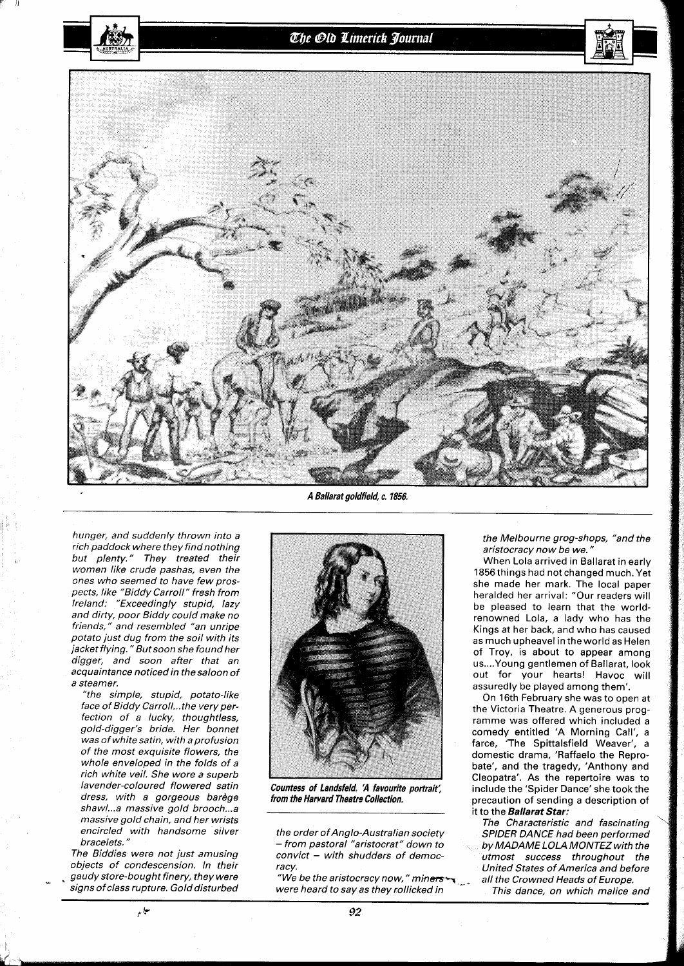

hunger, and suddenly thrown into a rich paddock where they find nothing but plenty." They treated their women like crude pashas, even the ones who seemed to have few prospects, like "Biddy Carroll" fresh from Ireland: "Exceedingly stupid, lazy and dirty, poor Biddy could make no friends," and resembled "an unripe potato just dug from the soil with its jacket flying." But soon she found her digger, and soon after that an acquaintance noticed in the saloon of a steamer.

"the simple, stupid, potato-like face of Biddy Carroll...the very perfection of a lucky, thoughtless, gold-digger's bride. Her bonnet was of white satin, with a profusion of the most exquisite flowers, the whole enveloped in the folds of a rich white veil. She wore a superb lavender-coloured flowered satin dress, with a gorgeous barège shawl...a massive gold brooch...a massive gold chain, and her wrists encircled with handsome silver bracelets."

The Biddies were not just amusing objects of condescension. In their gaudy store-bought finery, they were signs ofclass rupture. Gold disturbed

مباري

A Ballarat goldfield, c. **1856,** 

the Melbourne grog-shops, "and the aristocracy now be we. "

When Lola arrived in Ballarat in early l856 things had not changed much. Yet she made her mark. The local paper heralded her arrival: "Our readers will be pleased to learn that the worldrenowned Lola, a lady who has the Kings at her back, and who has caused as much upheavel in theworld as Helen of Troy, is about to appear among us .... Young gentlemen of Ballarat, look out for your hearts! Havoc will assuredly be played among them'.

On 16th February she was to open at the Victoria Theatre. A generous programme was offered which included a comedy entitled 'A Morning Call', a farce, 'The Spittalsfield Weaver', a domestic drama, 'Raffaelo the Reprobate', and the tragedy, 'Anthony and Cleopatra'. As the repertoire was to include the 'Spider Dance' she took the precaution of sending a description of it to the **Ballarat Star:** 

The Characteristic and fascinating SPIDER DANCE had been performed by MADAME LOLA MONTEZ with the utmost success throughout the United States of America and before

This dance, on which malice and



Countess of Landsfeld. 'A favourite portrait; from the Harvard Theatre Collection.

the order of Anglo-Australian society - from pastoral "aristocrat" down to  $convict - with$  shudders of democracv.

"We be the aristocracy now," miners  $\sim$  all the Crowned Heads of Europe.<br>were heard to say as they rollicked in This dance, on which malice